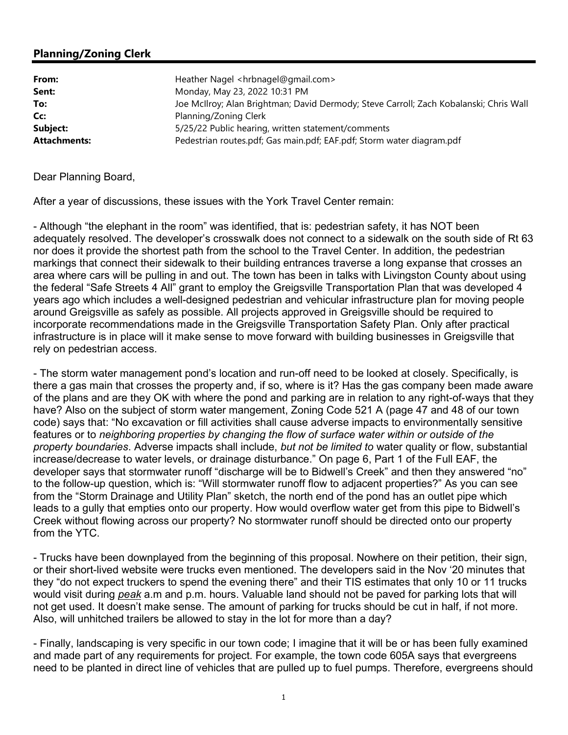## Planning/Zoning Clerk

| From:               | Heather Nagel <hrbnagel@gmail.com></hrbnagel@gmail.com>                                |
|---------------------|----------------------------------------------------------------------------------------|
| Sent:               | Monday, May 23, 2022 10:31 PM                                                          |
| To:                 | Joe McIlroy; Alan Brightman; David Dermody; Steve Carroll; Zach Kobalanski; Chris Wall |
| Cc:                 | Planning/Zoning Clerk                                                                  |
| Subject:            | 5/25/22 Public hearing, written statement/comments                                     |
| <b>Attachments:</b> | Pedestrian routes.pdf; Gas main.pdf; EAF.pdf; Storm water diagram.pdf                  |

Dear Planning Board,

After a year of discussions, these issues with the York Travel Center remain:

- Although "the elephant in the room" was identified, that is: pedestrian safety, it has NOT been adequately resolved. The developer's crosswalk does not connect to a sidewalk on the south side of Rt 63 nor does it provide the shortest path from the school to the Travel Center. In addition, the pedestrian markings that connect their sidewalk to their building entrances traverse a long expanse that crosses an area where cars will be pulling in and out. The town has been in talks with Livingston County about using the federal "Safe Streets 4 All" grant to employ the Greigsville Transportation Plan that was developed 4 years ago which includes a well-designed pedestrian and vehicular infrastructure plan for moving people around Greigsville as safely as possible. All projects approved in Greigsville should be required to incorporate recommendations made in the Greigsville Transportation Safety Plan. Only after practical infrastructure is in place will it make sense to move forward with building businesses in Greigsville that rely on pedestrian access.

- The storm water management pond's location and run-off need to be looked at closely. Specifically, is there a gas main that crosses the property and, if so, where is it? Has the gas company been made aware of the plans and are they OK with where the pond and parking are in relation to any right-of-ways that they have? Also on the subject of storm water mangement, Zoning Code 521 A (page 47 and 48 of our town code) says that: "No excavation or fill activities shall cause adverse impacts to environmentally sensitive features or to neighboring properties by changing the flow of surface water within or outside of the property boundaries. Adverse impacts shall include, but not be limited to water quality or flow, substantial increase/decrease to water levels, or drainage disturbance." On page 6, Part 1 of the Full EAF, the developer says that stormwater runoff "discharge will be to Bidwell's Creek" and then they answered "no" to the follow-up question, which is: "Will stormwater runoff flow to adjacent properties?" As you can see from the "Storm Drainage and Utility Plan" sketch, the north end of the pond has an outlet pipe which leads to a gully that empties onto our property. How would overflow water get from this pipe to Bidwell's Creek without flowing across our property? No stormwater runoff should be directed onto our property from the YTC.

- Trucks have been downplayed from the beginning of this proposal. Nowhere on their petition, their sign, or their short-lived website were trucks even mentioned. The developers said in the Nov '20 minutes that they "do not expect truckers to spend the evening there" and their TIS estimates that only 10 or 11 trucks would visit during peak a.m and p.m. hours. Valuable land should not be paved for parking lots that will not get used. It doesn't make sense. The amount of parking for trucks should be cut in half, if not more. Also, will unhitched trailers be allowed to stay in the lot for more than a day?

- Finally, landscaping is very specific in our town code; I imagine that it will be or has been fully examined and made part of any requirements for project. For example, the town code 605A says that evergreens need to be planted in direct line of vehicles that are pulled up to fuel pumps. Therefore, evergreens should